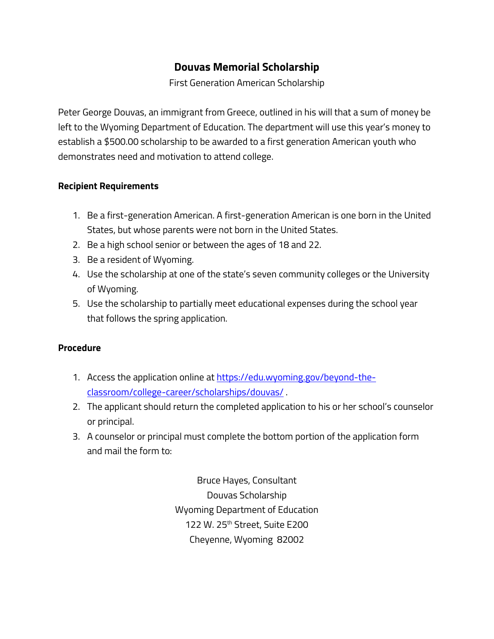## **Douvas Memorial Scholarship**

First Generation American Scholarship

Peter George Douvas, an immigrant from Greece, outlined in his will that a sum of money be left to the Wyoming Department of Education. The department will use this year's money to establish a \$500.00 scholarship to be awarded to a first generation American youth who demonstrates need and motivation to attend college.

## **Recipient Requirements**

- 1. Be a first-generation American. A first-generation American is one born in the United States, but whose parents were not born in the United States.
- 2. Be a high school senior or between the ages of 18 and 22.
- 3. Be a resident of Wyoming.
- 4. Use the scholarship at one of the state's seven community colleges or the University of Wyoming.
- 5. Use the scholarship to partially meet educational expenses during the school year that follows the spring application.

## **Procedure**

- 1. Access the application online a[t https://edu.wyoming.gov/beyond-the](https://edu.wyoming.gov/beyond-the-classroom/college-career/scholarships/douvas/)[classroom/college-career/scholarships/douvas/](https://edu.wyoming.gov/beyond-the-classroom/college-career/scholarships/douvas/) .
- 2. The applicant should return the completed application to his or her school's counselor or principal.
- 3. A counselor or principal must complete the bottom portion of the application form and mail the form to:

Bruce Hayes, Consultant Douvas Scholarship Wyoming Department of Education 122 W. 25th Street, Suite E200 Cheyenne, Wyoming 82002